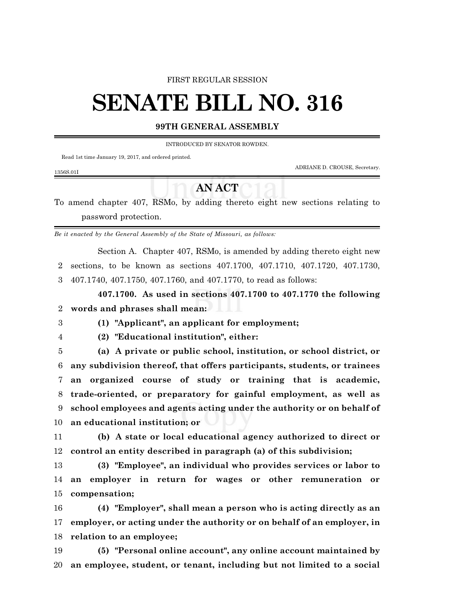#### FIRST REGULAR SESSION

# **SENATE BILL NO. 316**

### **99TH GENERAL ASSEMBLY**

INTRODUCED BY SENATOR ROWDEN.

Read 1st time January 19, 2017, and ordered printed.

ADRIANE D. CROUSE, Secretary.

#### 1356S.01I

## **AN ACT**

To amend chapter 407, RSMo, by adding thereto eight new sections relating to password protection.

*Be it enacted by the General Assembly of the State of Missouri, as follows:*

Section A. Chapter 407, RSMo, is amended by adding thereto eight new sections, to be known as sections 407.1700, 407.1710, 407.1720, 407.1730, 407.1740, 407.1750, 407.1760, and 407.1770, to read as follows:

**407.1700. As used in sections 407.1700 to 407.1770 the following words and phrases shall mean:**

**(1) "Applicant", an applicant for employment;**

**(2) "Educational institution", either:**

 **(a) A private or public school, institution, or school district, or any subdivision thereof, that offers participants, students, or trainees an organized course of study or training that is academic, trade-oriented, or preparatory for gainful employment, as well as school employees and agents acting under the authority or on behalf of an educational institution; or**

 **(b) A state or local educational agency authorized to direct or control an entity described in paragraph (a) of this subdivision;**

 **(3) "Employee", an individual who provides services or labor to an employer in return for wages or other remuneration or compensation;**

 **(4) "Employer", shall mean a person who is acting directly as an employer, or acting under the authority or on behalf of an employer, in relation to an employee;**

 **(5) "Personal online account", any online account maintained by an employee, student, or tenant, including but not limited to a social**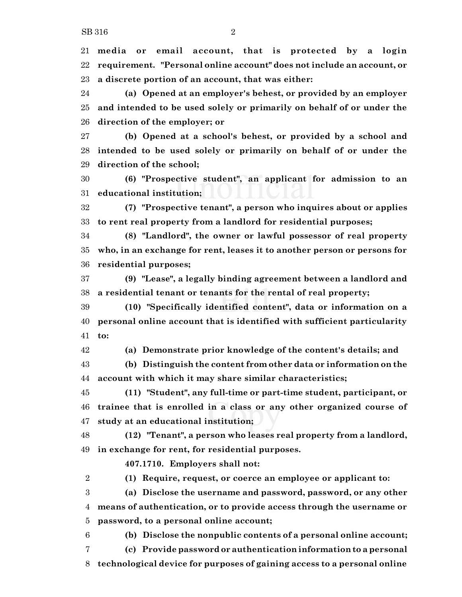**media or email account, that is protected by a login requirement. "Personal online account" does not include an account, or a discrete portion of an account, that was either:**

 **(a) Opened at an employer's behest, or provided by an employer and intended to be used solely or primarily on behalf of or under the direction of the employer; or**

 **(b) Opened at a school's behest, or provided by a school and intended to be used solely or primarily on behalf of or under the direction of the school;**

 **(6) "Prospective student", an applicant for admission to an educational institution;**

 **(7) "Prospective tenant", a person who inquires about or applies to rent real property from a landlord for residential purposes;**

 **(8) "Landlord", the owner or lawful possessor of real property who, in an exchange for rent, leases it to another person or persons for residential purposes;**

 **(9) "Lease", a legally binding agreement between a landlord and a residential tenant or tenants for the rental of real property;**

 **(10) "Specifically identified content", data or information on a personal online account that is identified with sufficient particularity to:**

**(a) Demonstrate prior knowledge of the content's details; and**

 **(b) Distinguish the content from other data or information on the account with which it may share similar characteristics;**

 **(11) "Student", any full-time or part-time student, participant, or trainee that is enrolled in a class or any other organized course of study at an educational institution;**

 **(12) "Tenant", a person who leases real property from a landlord, in exchange for rent, for residential purposes.**

**407.1710. Employers shall not:**

**(1) Require, request, or coerce an employee or applicant to:**

 **(a) Disclose the username and password, password, or any other means of authentication, or to provide access through the username or password, to a personal online account;**

**(b) Disclose the nonpublic contents of a personal online account;**

**(c) Provide password or authentication information to a personal**

**technological device for purposes of gaining access to a personal online**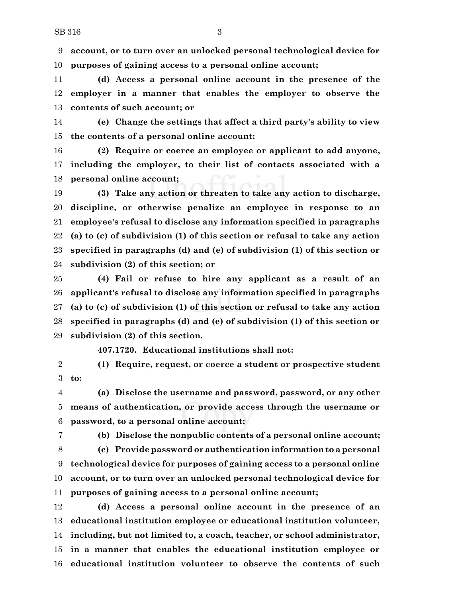**account, or to turn over an unlocked personal technological device for purposes of gaining access to a personal online account;**

 **(d) Access a personal online account in the presence of the employer in a manner that enables the employer to observe the contents of such account; or**

 **(e) Change the settings that affect a third party's ability to view the contents of a personal online account;**

 **(2) Require or coerce an employee or applicant to add anyone, including the employer, to their list of contacts associated with a personal online account;**

 **(3) Take any action or threaten to take any action to discharge, discipline, or otherwise penalize an employee in response to an employee's refusal to disclose any information specified in paragraphs (a) to (c) of subdivision (1) of this section or refusal to take any action specified in paragraphs (d) and (e) of subdivision (1) of this section or subdivision (2) of this section; or**

 **(4) Fail or refuse to hire any applicant as a result of an applicant's refusal to disclose any information specified in paragraphs (a) to (c) of subdivision (1) of this section or refusal to take any action specified in paragraphs (d) and (e) of subdivision (1) of this section or subdivision (2) of this section.**

**407.1720. Educational institutions shall not:**

 **(1) Require, request, or coerce a student or prospective student to:**

 **(a) Disclose the username and password, password, or any other means of authentication, or provide access through the username or password, to a personal online account;**

**(b) Disclose the nonpublic contents of a personal online account;**

 **(c) Provide password or authentication information to a personal technological device for purposes of gaining access to a personal online account, or to turn over an unlocked personal technological device for purposes of gaining access to a personal online account;**

 **(d) Access a personal online account in the presence of an educational institution employee or educational institution volunteer, including, but not limited to, a coach, teacher, or school administrator, in a manner that enables the educational institution employee or educational institution volunteer to observe the contents of such**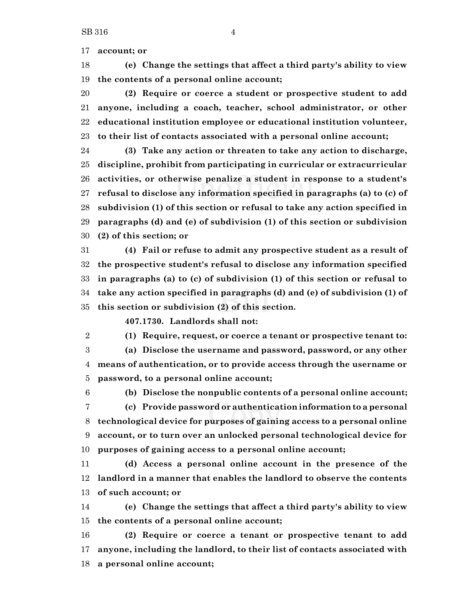**account; or**

 **(e) Change the settings that affect a third party's ability to view the contents of a personal online account;**

 **(2) Require or coerce a student or prospective student to add anyone, including a coach, teacher, school administrator, or other educational institution employee or educational institution volunteer, to their list of contacts associated with a personal online account;**

 **(3) Take any action or threaten to take any action to discharge, discipline, prohibit from participating in curricular or extracurricular activities, or otherwise penalize a student in response to a student's refusal to disclose any information specified in paragraphs (a) to (c) of subdivision (1) of this section or refusal to take any action specified in paragraphs (d) and (e) of subdivision (1) of this section or subdivision (2) of this section; or**

 **(4) Fail or refuse to admit any prospective student as a result of the prospective student's refusal to disclose any information specified in paragraphs (a) to (c) of subdivision (1) of this section or refusal to take any action specified in paragraphs (d) and (e) of subdivision (1) of this section or subdivision (2) of this section.**

**407.1730. Landlords shall not:**

**(1) Require, request, or coerce a tenant or prospective tenant to:**

 **(a) Disclose the username and password, password, or any other means of authentication, or to provide access through the username or password, to a personal online account;**

 **(b) Disclose the nonpublic contents of a personal online account; (c) Provide password or authentication information to a personal technological device for purposes of gaining access to a personal online account, or to turn over an unlocked personal technological device for purposes of gaining access to a personal online account;**

 **(d) Access a personal online account in the presence of the landlord in a manner that enables the landlord to observe the contents of such account; or**

 **(e) Change the settings that affect a third party's ability to view the contents of a personal online account;**

 **(2) Require or coerce a tenant or prospective tenant to add anyone, including the landlord, to their list of contacts associated with a personal online account;**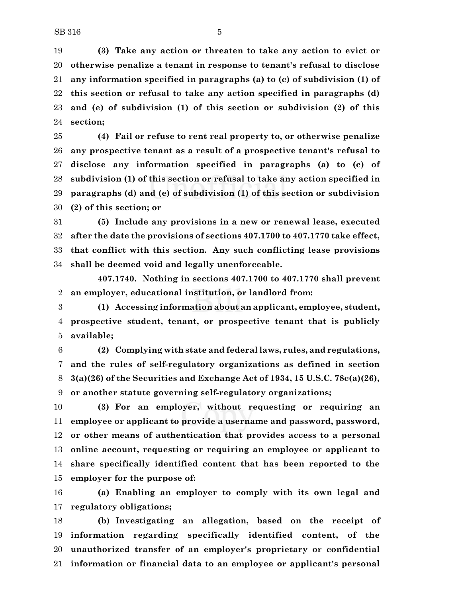**(3) Take any action or threaten to take any action to evict or otherwise penalize a tenant in response to tenant's refusal to disclose any information specified in paragraphs (a) to (c) of subdivision (1) of this section or refusal to take any action specified in paragraphs (d) and (e) of subdivision (1) of this section or subdivision (2) of this section;**

 **(4) Fail or refuse to rent real property to, or otherwise penalize any prospective tenant as a result of a prospective tenant's refusal to disclose any information specified in paragraphs (a) to (c) of subdivision (1) of this section or refusal to take any action specified in paragraphs (d) and (e) of subdivision (1) of this section or subdivision (2) of this section; or**

 **(5) Include any provisions in a new or renewal lease, executed after the date the provisions of sections 407.1700 to 407.1770 take effect, that conflict with this section. Any such conflicting lease provisions shall be deemed void and legally unenforceable.**

**407.1740. Nothing in sections 407.1700 to 407.1770 shall prevent an employer, educational institution, or landlord from:**

 **(1) Accessing information about an applicant, employee, student, prospective student, tenant, or prospective tenant that is publicly available;**

 **(2) Complying with state and federal laws, rules, and regulations, and the rules of self-regulatory organizations as defined in section 3(a)(26) of the Securities and Exchange Act of 1934, 15 U.S.C. 78c(a)(26), or another statute governing self-regulatory organizations;**

 **(3) For an employer, without requesting or requiring an employee or applicant to provide a username and password, password, or other means of authentication that provides access to a personal online account, requesting or requiring an employee or applicant to share specifically identified content that has been reported to the employer for the purpose of:**

 **(a) Enabling an employer to comply with its own legal and regulatory obligations;**

 **(b) Investigating an allegation, based on the receipt of information regarding specifically identified content, of the unauthorized transfer of an employer's proprietary or confidential information or financial data to an employee or applicant's personal**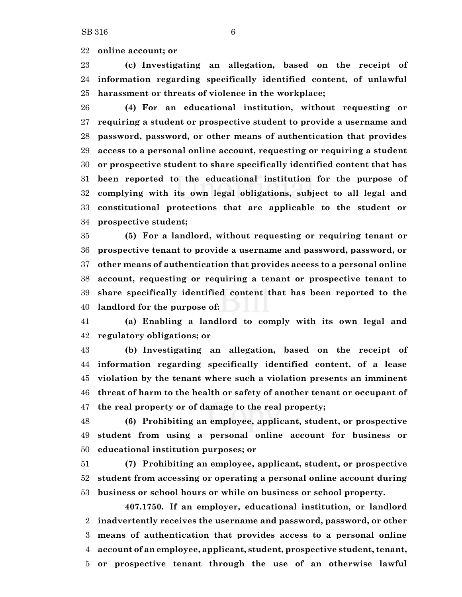**online account; or**

 **(c) Investigating an allegation, based on the receipt of information regarding specifically identified content, of unlawful harassment or threats of violence in the workplace;**

 **(4) For an educational institution, without requesting or requiring a student or prospective student to provide a username and password, password, or other means of authentication that provides access to a personal online account, requesting or requiring a student or prospective student to share specifically identified content that has been reported to the educational institution for the purpose of complying with its own legal obligations, subject to all legal and constitutional protections that are applicable to the student or prospective student;**

 **(5) For a landlord, without requesting or requiring tenant or prospective tenant to provide a username and password, password, or other means of authentication that provides access to a personal online account, requesting or requiring a tenant or prospective tenant to share specifically identified content that has been reported to the landlord for the purpose of:**

 **(a) Enabling a landlord to comply with its own legal and regulatory obligations; or**

 **(b) Investigating an allegation, based on the receipt of information regarding specifically identified content, of a lease violation by the tenant where such a violation presents an imminent threat of harm to the health or safety of another tenant or occupant of the real property or of damage to the real property;**

 **(6) Prohibiting an employee, applicant, student, or prospective student from using a personal online account for business or educational institution purposes; or**

 **(7) Prohibiting an employee, applicant, student, or prospective student from accessing or operating a personal online account during business or school hours or while on business or school property.**

**407.1750. If an employer, educational institution, or landlord inadvertently receives the username and password, password, or other means of authentication that provides access to a personal online account of an employee, applicant, student, prospective student, tenant, or prospective tenant through the use of an otherwise lawful**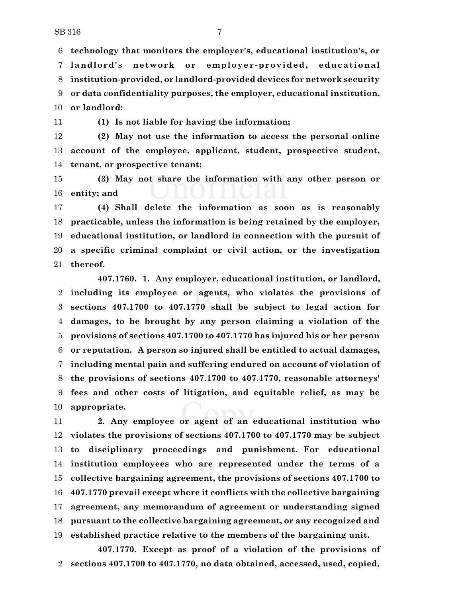**technology that monitors the employer's, educational institution's, or landlord's network or employer-provided, educat ional institution-provided, or landlord-provided devices for network security or data confidentiality purposes, the employer, educational institution, or landlord:**

**(1) Is not liable for having the information;**

 **(2) May not use the information to access the personal online account of the employee, applicant, student, prospective student, tenant, or prospective tenant;**

 **(3) May not share the information with any other person or entity; and**

 **(4) Shall delete the information as soon as is reasonably practicable, unless the information is being retained by the employer, educational institution, or landlord in connection with the pursuit of a specific criminal complaint or civil action, or the investigation thereof.**

**407.1760. 1. Any employer, educational institution, or landlord, including its employee or agents, who violates the provisions of sections 407.1700 to 407.1770 shall be subject to legal action for damages, to be brought by any person claiming a violation of the provisions of sections 407.1700 to 407.1770 has injured his or her person or reputation. A person so injured shall be entitled to actual damages, including mental pain and suffering endured on account of violation of the provisions of sections 407.1700 to 407.1770, reasonable attorneys' fees and other costs of litigation, and equitable relief, as may be appropriate.**

 **2. Any employee or agent of an educational institution who violates the provisions of sections 407.1700 to 407.1770 may be subject to disciplinary proceedings and punishment. For educational institution employees who are represented under the terms of a collective bargaining agreement, the provisions of sections 407.1700 to 407.1770 prevail except where it conflicts with the collective bargaining agreement, any memorandum of agreement or understanding signed pursuant to the collective bargaining agreement, or any recognized and established practice relative to the members of the bargaining unit.**

**407.1770. Except as proof of a violation of the provisions of sections 407.1700 to 407.1770, no data obtained, accessed, used, copied,**